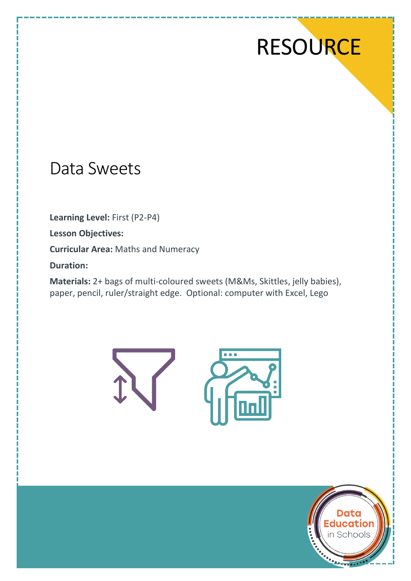# **RESOURCE**

# Data Sweets

**Learning Level:** First (P2-P4)

**Lesson Objectives:**

**Curricular Area:** Maths and Numeracy

**Duration:**

**Materials:** 2+ bags of multi-coloured sweets (M&Ms, Skittles, jelly babies), paper, pencil, ruler/straight edge. Optional: computer with Excel, Lego





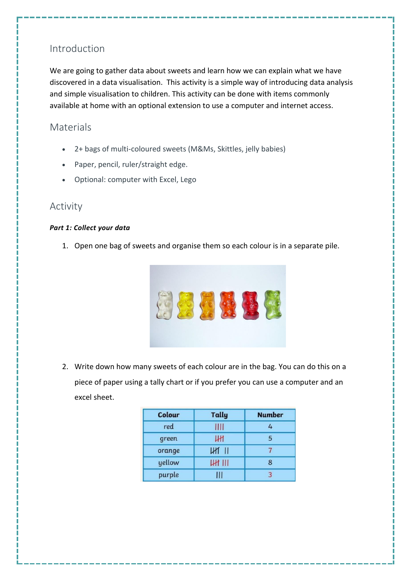## Introduction

We are going to gather data about sweets and learn how we can explain what we have discovered in a data visualisation. This activity is a simple way of introducing data analysis and simple visualisation to children. This activity can be done with items commonly available at home with an optional extension to use a computer and internet access.

## **Materials**

- 2+ bags of multi-coloured sweets (M&Ms, Skittles, jelly babies)
- Paper, pencil, ruler/straight edge.
- Optional: computer with Excel, Lego

#### Activity

#### *Part 1: Collect your data*

1. Open one bag of sweets and organise them so each colour is in a separate pile.



2. Write down how many sweets of each colour are in the bag. You can do this on a piece of paper using a tally chart or if you prefer you can use a computer and an excel sheet.

| <b>Colour</b> | <b>Tally</b>  | <b>Number</b> |
|---------------|---------------|---------------|
| red           | Ш             | 4             |
| green         | Шł            | 5             |
| orange        | <b>UHT 11</b> |               |
| yellow        | <b>HH III</b> | 8             |
| purple        |               |               |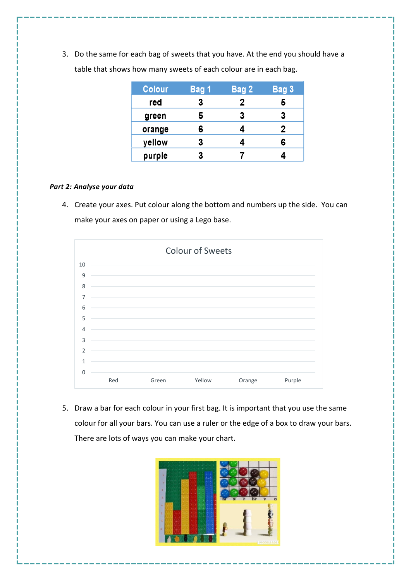3. Do the same for each bag of sweets that you have. At the end you should have a table that shows how many sweets of each colour are in each bag.

| <b>Colour</b> | Bag 1 | Bag 2 | Bag 3       |
|---------------|-------|-------|-------------|
| red           | 3     | 2     |             |
| green         | 5     | 3     | 3           |
| orange        | 6     | 4     | $\mathbf 2$ |
| yellow        | 3     |       | 6           |
| purple        | 3     |       |             |

#### *Part 2: Analyse your data*

4. Create your axes. Put colour along the bottom and numbers up the side. You can make your axes on paper or using a Lego base.



5. Draw a bar for each colour in your first bag. It is important that you use the same colour for all your bars. You can use a ruler or the edge of a box to draw your bars. There are lots of ways you can make your chart.